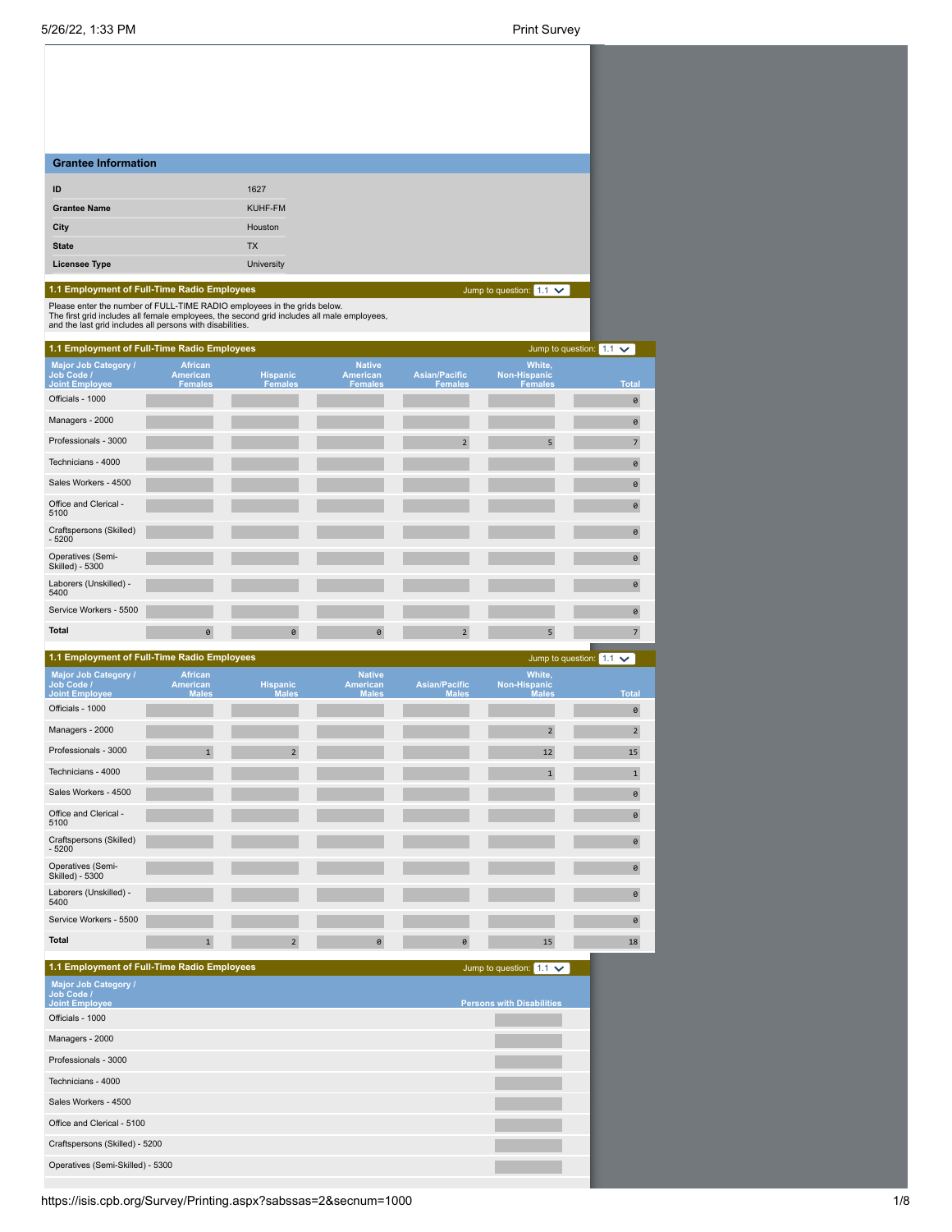| <b>Grantee Information</b>                                                                                                                                             |                                                     |                                   |                                                    |                                        |                                                 |                                |
|------------------------------------------------------------------------------------------------------------------------------------------------------------------------|-----------------------------------------------------|-----------------------------------|----------------------------------------------------|----------------------------------------|-------------------------------------------------|--------------------------------|
| ID                                                                                                                                                                     |                                                     | 1627                              |                                                    |                                        |                                                 |                                |
| <b>Grantee Name</b>                                                                                                                                                    |                                                     | KUHF-FM                           |                                                    |                                        |                                                 |                                |
| City                                                                                                                                                                   |                                                     | Houston                           |                                                    |                                        |                                                 |                                |
| <b>State</b>                                                                                                                                                           |                                                     | <b>TX</b>                         |                                                    |                                        |                                                 |                                |
| <b>Licensee Type</b>                                                                                                                                                   |                                                     | <b>University</b>                 |                                                    |                                        |                                                 |                                |
| 1.1 Employment of Full-Time Radio Employees                                                                                                                            |                                                     |                                   |                                                    |                                        | Jump to question: $1.1 \vee$                    |                                |
| Please enter the number of FULL-TIME RADIO employees in the grids below.<br>The first grid includes all female employees, the second grid includes all male employees, |                                                     |                                   |                                                    |                                        |                                                 |                                |
| and the last grid includes all persons with disabilities.                                                                                                              |                                                     |                                   |                                                    |                                        |                                                 |                                |
| 1.1 Employment of Full-Time Radio Employees                                                                                                                            |                                                     |                                   |                                                    |                                        |                                                 | Jump to question: $1.1 \times$ |
| Major Job Category /<br>Job Code /<br><b>Joint Employee</b>                                                                                                            | <b>African</b><br><b>American</b><br><b>Females</b> | <b>Hispanic</b><br><b>Females</b> | <b>Native</b><br><b>American</b><br><b>Females</b> | <b>Asian/Pacific</b><br><b>Females</b> | White,<br><b>Non-Hispanic</b><br><b>Females</b> | <b>Total</b>                   |
| Officials - 1000                                                                                                                                                       |                                                     |                                   |                                                    |                                        |                                                 | 0                              |
| Managers - 2000                                                                                                                                                        |                                                     |                                   |                                                    |                                        |                                                 | $\pmb{\Theta}$                 |
| Professionals - 3000                                                                                                                                                   |                                                     |                                   |                                                    | $\overline{2}$                         | 5                                               | $7\overline{ }$                |
| Technicians - 4000                                                                                                                                                     |                                                     |                                   |                                                    |                                        |                                                 | 0                              |
| Sales Workers - 4500                                                                                                                                                   |                                                     |                                   |                                                    |                                        |                                                 | $\theta$                       |
| Office and Clerical -<br>5100                                                                                                                                          |                                                     |                                   |                                                    |                                        |                                                 | $\theta$                       |
| Craftspersons (Skilled)<br>$-5200$                                                                                                                                     |                                                     |                                   |                                                    |                                        |                                                 | $\theta$                       |
| Operatives (Semi-<br><b>Skilled) - 5300</b>                                                                                                                            |                                                     |                                   |                                                    |                                        |                                                 | $\theta$                       |
| Laborers (Unskilled) -<br>5400                                                                                                                                         |                                                     |                                   |                                                    |                                        |                                                 | $\theta$                       |
| Service Workers - 5500                                                                                                                                                 |                                                     |                                   |                                                    |                                        |                                                 | $\theta$                       |
| <b>Total</b>                                                                                                                                                           | 0                                                   | 0                                 | 0                                                  | $\overline{2}$                         | 5                                               | $\overline{\phantom{a}}$       |
| 1.1 Employment of Full-Time Radio Employees                                                                                                                            |                                                     |                                   |                                                    |                                        |                                                 | Jump to question: $1.1 \vee$   |
| Major Job Category /                                                                                                                                                   | <b>African</b>                                      |                                   | <b>Native</b>                                      |                                        | <b>White</b>                                    |                                |

| Major Job Category /<br>Job Code /<br><b>Joint Employee</b> | <b>African</b><br>American<br><b>Males</b> | <b>Hispanic</b><br><b>Males</b> | <b>Native</b><br>American<br><b>Males</b> | <b>Asian/Pacific</b><br><b>Males</b> | White,<br>Non-Hispanic<br><b>Males</b> | <b>Total</b>   |
|-------------------------------------------------------------|--------------------------------------------|---------------------------------|-------------------------------------------|--------------------------------------|----------------------------------------|----------------|
| Officials - 1000                                            |                                            |                                 |                                           |                                      |                                        | 0              |
| Managers - 2000                                             |                                            |                                 |                                           |                                      | $\overline{2}$                         | $\overline{2}$ |
| Professionals - 3000                                        | $\mathbf{1}$                               | $\overline{2}$                  |                                           |                                      | 12                                     | 15             |
| Technicians - 4000                                          |                                            |                                 |                                           |                                      | $\mathbf{1}$                           | $\mathbf{1}$   |
| Sales Workers - 4500                                        |                                            |                                 |                                           |                                      |                                        | 0              |
| Office and Clerical -<br>5100                               |                                            |                                 |                                           |                                      |                                        | $\theta$       |
| Craftspersons (Skilled)<br>$-5200$                          |                                            |                                 |                                           |                                      |                                        | $\theta$       |
| Operatives (Semi-<br>Skilled) - 5300                        |                                            |                                 |                                           |                                      |                                        | $\theta$       |
| Laborers (Unskilled) -<br>5400                              |                                            |                                 |                                           |                                      |                                        | $\theta$       |
| Service Workers - 5500                                      |                                            |                                 |                                           |                                      |                                        | $\theta$       |
| <b>Total</b>                                                | $\mathbf{1}$                               | $\overline{2}$                  | $\theta$                                  | $\theta$                             | 15                                     | 18             |

| 1.1 Employment of Full-Time Radio Employees                 | Jump to question: $1.1 \times$   |
|-------------------------------------------------------------|----------------------------------|
| Major Job Category /<br>Job Code /<br><b>Joint Employee</b> | <b>Persons with Disabilities</b> |
| Officials - 1000                                            |                                  |
| Managers - 2000                                             |                                  |
| Professionals - 3000                                        |                                  |
| Technicians - 4000                                          |                                  |
| Sales Workers - 4500                                        |                                  |
| Office and Clerical - 5100                                  |                                  |
| Craftspersons (Skilled) - 5200                              |                                  |
| Operatives (Semi-Skilled) - 5300                            |                                  |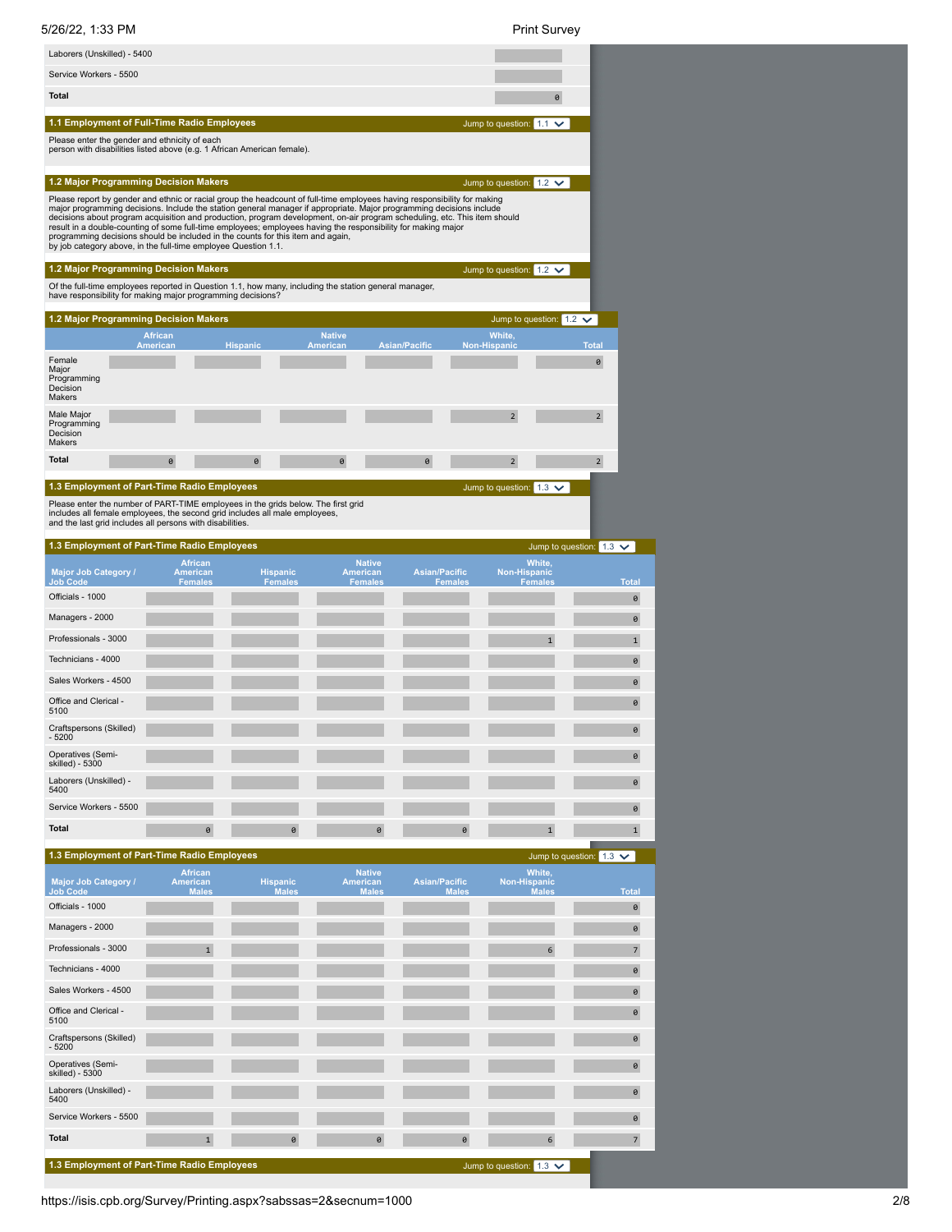

| Officials - 1000                            |              |          |          |          |                                | $\theta$       |
|---------------------------------------------|--------------|----------|----------|----------|--------------------------------|----------------|
| Managers - 2000                             |              |          |          |          |                                | $\theta$       |
| Professionals - 3000                        | $\mathbf{1}$ |          |          |          | 6                              | $\overline{7}$ |
| Technicians - 4000                          |              |          |          |          |                                | $\theta$       |
| Sales Workers - 4500                        |              |          |          |          |                                | $\theta$       |
| Office and Clerical -<br>5100               |              |          |          |          |                                | $\theta$       |
| Craftspersons (Skilled)<br>$-5200$          |              |          |          |          |                                | $\theta$       |
| Operatives (Semi-<br>skilled) - 5300        |              |          |          |          |                                | $\theta$       |
| Laborers (Unskilled) -<br>5400              |              |          |          |          |                                | $\theta$       |
| Service Workers - 5500                      |              |          |          |          |                                | $\theta$       |
| <b>Total</b>                                | $\mathbf{1}$ | $\theta$ | $\theta$ | $\theta$ | 6                              | $\overline{7}$ |
|                                             |              |          |          |          |                                |                |
| 1.3 Employment of Part-Time Radio Employees |              |          |          |          | Jump to question: $1.3 \times$ |                |

0

0

0

 $\theta$ 

https://isis.cpb.org/Survey/Printing.aspx?sabssas=2&secnum=1000 2/8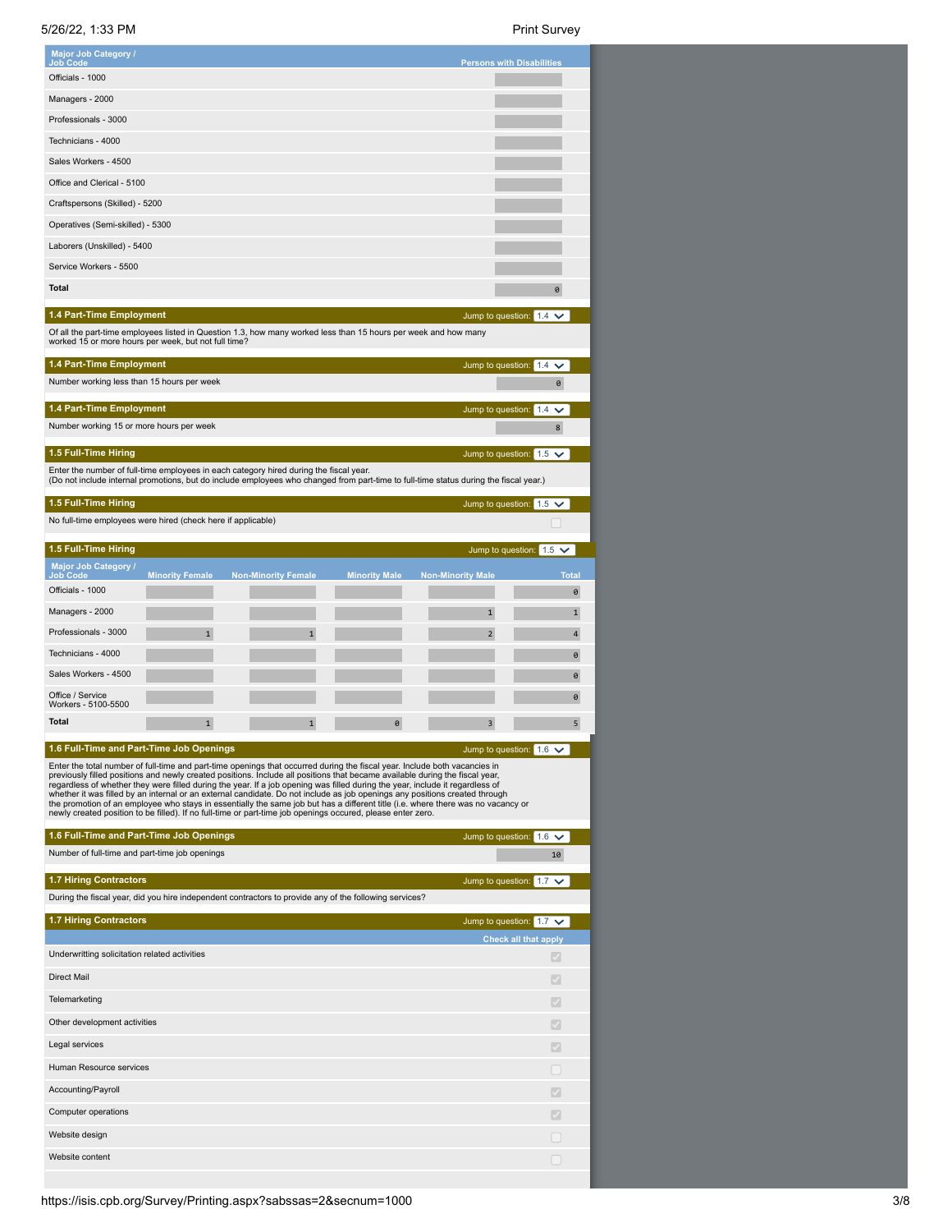5/26/22, 1:33 PM Print Survey

| <b>Major Job Category /</b><br>Job Code                                                                                                                                                                                                                                                                                                                                                                                                                                                                                                                                                                                                                                                                                                                                       |                        |                            |                      | <b>Persons with Disabilities</b> |                                |
|-------------------------------------------------------------------------------------------------------------------------------------------------------------------------------------------------------------------------------------------------------------------------------------------------------------------------------------------------------------------------------------------------------------------------------------------------------------------------------------------------------------------------------------------------------------------------------------------------------------------------------------------------------------------------------------------------------------------------------------------------------------------------------|------------------------|----------------------------|----------------------|----------------------------------|--------------------------------|
| Officials - 1000                                                                                                                                                                                                                                                                                                                                                                                                                                                                                                                                                                                                                                                                                                                                                              |                        |                            |                      |                                  |                                |
| Managers - 2000                                                                                                                                                                                                                                                                                                                                                                                                                                                                                                                                                                                                                                                                                                                                                               |                        |                            |                      |                                  |                                |
| Professionals - 3000                                                                                                                                                                                                                                                                                                                                                                                                                                                                                                                                                                                                                                                                                                                                                          |                        |                            |                      |                                  |                                |
| Technicians - 4000                                                                                                                                                                                                                                                                                                                                                                                                                                                                                                                                                                                                                                                                                                                                                            |                        |                            |                      |                                  |                                |
| Sales Workers - 4500                                                                                                                                                                                                                                                                                                                                                                                                                                                                                                                                                                                                                                                                                                                                                          |                        |                            |                      |                                  |                                |
| Office and Clerical - 5100                                                                                                                                                                                                                                                                                                                                                                                                                                                                                                                                                                                                                                                                                                                                                    |                        |                            |                      |                                  |                                |
| Craftspersons (Skilled) - 5200                                                                                                                                                                                                                                                                                                                                                                                                                                                                                                                                                                                                                                                                                                                                                |                        |                            |                      |                                  |                                |
| Operatives (Semi-skilled) - 5300                                                                                                                                                                                                                                                                                                                                                                                                                                                                                                                                                                                                                                                                                                                                              |                        |                            |                      |                                  |                                |
| Laborers (Unskilled) - 5400                                                                                                                                                                                                                                                                                                                                                                                                                                                                                                                                                                                                                                                                                                                                                   |                        |                            |                      |                                  |                                |
| Service Workers - 5500                                                                                                                                                                                                                                                                                                                                                                                                                                                                                                                                                                                                                                                                                                                                                        |                        |                            |                      |                                  |                                |
| <b>Total</b>                                                                                                                                                                                                                                                                                                                                                                                                                                                                                                                                                                                                                                                                                                                                                                  |                        |                            |                      |                                  | 0                              |
| 1.4 Part-Time Employment<br>Of all the part-time employees listed in Question 1.3, how many worked less than 15 hours per week and how many                                                                                                                                                                                                                                                                                                                                                                                                                                                                                                                                                                                                                                   |                        |                            |                      |                                  | Jump to question: $1.4 \times$ |
| worked 15 or more hours per week, but not full time?                                                                                                                                                                                                                                                                                                                                                                                                                                                                                                                                                                                                                                                                                                                          |                        |                            |                      |                                  |                                |
| 1.4 Part-Time Employment                                                                                                                                                                                                                                                                                                                                                                                                                                                                                                                                                                                                                                                                                                                                                      |                        |                            |                      | Jump to question: 1.4            | $\checkmark$                   |
| Number working less than 15 hours per week                                                                                                                                                                                                                                                                                                                                                                                                                                                                                                                                                                                                                                                                                                                                    |                        |                            |                      |                                  | 0                              |
| 1.4 Part-Time Employment<br>Number working 15 or more hours per week                                                                                                                                                                                                                                                                                                                                                                                                                                                                                                                                                                                                                                                                                                          |                        |                            |                      | Jump to question: 1.4            | $\checkmark$<br>8              |
|                                                                                                                                                                                                                                                                                                                                                                                                                                                                                                                                                                                                                                                                                                                                                                               |                        |                            |                      |                                  |                                |
| 1.5 Full-Time Hiring<br>Enter the number of full-time employees in each category hired during the fiscal year.                                                                                                                                                                                                                                                                                                                                                                                                                                                                                                                                                                                                                                                                |                        |                            |                      |                                  | Jump to question: $1.5 \times$ |
| (Do not include internal promotions, but do include employees who changed from part-time to full-time status during the fiscal year.)                                                                                                                                                                                                                                                                                                                                                                                                                                                                                                                                                                                                                                         |                        |                            |                      |                                  |                                |
| 1.5 Full-Time Hiring                                                                                                                                                                                                                                                                                                                                                                                                                                                                                                                                                                                                                                                                                                                                                          |                        |                            |                      | Jump to question: 1.5            |                                |
| No full-time employees were hired (check here if applicable)                                                                                                                                                                                                                                                                                                                                                                                                                                                                                                                                                                                                                                                                                                                  |                        |                            |                      |                                  |                                |
| 1.5 Full-Time Hiring                                                                                                                                                                                                                                                                                                                                                                                                                                                                                                                                                                                                                                                                                                                                                          |                        |                            |                      |                                  | Jump to question: $1.5 \times$ |
| <b>Major Job Category /</b><br>Job Code                                                                                                                                                                                                                                                                                                                                                                                                                                                                                                                                                                                                                                                                                                                                       | <b>Minority Female</b> | <b>Non-Minority Female</b> | <b>Minority Male</b> | <b>Non-Minority Male</b>         | <b>Tota</b>                    |
| Officials - 1000                                                                                                                                                                                                                                                                                                                                                                                                                                                                                                                                                                                                                                                                                                                                                              |                        |                            |                      |                                  | 0                              |
| Managers - 2000                                                                                                                                                                                                                                                                                                                                                                                                                                                                                                                                                                                                                                                                                                                                                               |                        |                            |                      | $\mathbf{1}$                     | $\mathbf{1}$                   |
| Professionals - 3000                                                                                                                                                                                                                                                                                                                                                                                                                                                                                                                                                                                                                                                                                                                                                          | 1                      | $\mathbf{1}$               |                      | 2                                | 4                              |
| Technicians - 4000                                                                                                                                                                                                                                                                                                                                                                                                                                                                                                                                                                                                                                                                                                                                                            |                        |                            |                      |                                  | 0                              |
| Sales Workers - 4500                                                                                                                                                                                                                                                                                                                                                                                                                                                                                                                                                                                                                                                                                                                                                          |                        |                            |                      |                                  | 0                              |
| Office / Service<br>Workers - 5100-5500                                                                                                                                                                                                                                                                                                                                                                                                                                                                                                                                                                                                                                                                                                                                       |                        |                            |                      |                                  | 0                              |
| <b>Total</b>                                                                                                                                                                                                                                                                                                                                                                                                                                                                                                                                                                                                                                                                                                                                                                  | 1                      | 1                          | 0                    | 3                                | 5                              |
| 1.6 Full-Time and Part-Time Job Openings                                                                                                                                                                                                                                                                                                                                                                                                                                                                                                                                                                                                                                                                                                                                      |                        |                            |                      |                                  | Jump to question: $1.6 \times$ |
| Enter the total number of full-time and part-time openings that occurred during the fiscal year. Include both vacancies in<br>previously filled positions and newly created positions. Include all positions that became available during the fiscal year,<br>regardless of whether they were filled during the year. If a job opening was filled during the year, include it regardless of<br>whether it was filled by an internal or an external candidate. Do not include as job openings any positions created through<br>the promotion of an employee who stays in essentially the same job but has a different title (i.e. where there was no vacancy or<br>newly created position to be filled). If no full-time or part-time job openings occured, please enter zero. |                        |                            |                      |                                  |                                |
| 1.6 Full-Time and Part-Time Job Openings                                                                                                                                                                                                                                                                                                                                                                                                                                                                                                                                                                                                                                                                                                                                      |                        |                            |                      |                                  | Jump to question: $1.6 \vee$   |
| Number of full-time and part-time job openings                                                                                                                                                                                                                                                                                                                                                                                                                                                                                                                                                                                                                                                                                                                                |                        |                            |                      |                                  | 10                             |
| <b>1.7 Hiring Contractors</b><br>During the fiscal year, did you hire independent contractors to provide any of the following services?                                                                                                                                                                                                                                                                                                                                                                                                                                                                                                                                                                                                                                       |                        |                            |                      |                                  | Jump to question: $1.7 \times$ |
| <b>1.7 Hiring Contractors</b>                                                                                                                                                                                                                                                                                                                                                                                                                                                                                                                                                                                                                                                                                                                                                 |                        |                            |                      |                                  | Jump to question: $1.7 \times$ |
|                                                                                                                                                                                                                                                                                                                                                                                                                                                                                                                                                                                                                                                                                                                                                                               |                        |                            |                      |                                  | <b>Check all that apply</b>    |
| Underwritting solicitation related activities                                                                                                                                                                                                                                                                                                                                                                                                                                                                                                                                                                                                                                                                                                                                 |                        |                            |                      |                                  |                                |
| <b>Direct Mail</b>                                                                                                                                                                                                                                                                                                                                                                                                                                                                                                                                                                                                                                                                                                                                                            |                        |                            |                      |                                  |                                |
| Telemarketing                                                                                                                                                                                                                                                                                                                                                                                                                                                                                                                                                                                                                                                                                                                                                                 |                        |                            |                      |                                  | $\mathcal{S}$                  |
| Other development activities                                                                                                                                                                                                                                                                                                                                                                                                                                                                                                                                                                                                                                                                                                                                                  |                        |                            |                      |                                  | Ø                              |
| Legal services                                                                                                                                                                                                                                                                                                                                                                                                                                                                                                                                                                                                                                                                                                                                                                |                        |                            |                      |                                  | $\mathcal{S}$                  |
| Human Resource services                                                                                                                                                                                                                                                                                                                                                                                                                                                                                                                                                                                                                                                                                                                                                       |                        |                            |                      |                                  |                                |
| Accounting/Payroll                                                                                                                                                                                                                                                                                                                                                                                                                                                                                                                                                                                                                                                                                                                                                            |                        |                            |                      |                                  | √                              |
| Computer operations                                                                                                                                                                                                                                                                                                                                                                                                                                                                                                                                                                                                                                                                                                                                                           |                        |                            |                      |                                  |                                |
| Website design                                                                                                                                                                                                                                                                                                                                                                                                                                                                                                                                                                                                                                                                                                                                                                |                        |                            |                      |                                  |                                |
| Website content                                                                                                                                                                                                                                                                                                                                                                                                                                                                                                                                                                                                                                                                                                                                                               |                        |                            |                      |                                  | □                              |
|                                                                                                                                                                                                                                                                                                                                                                                                                                                                                                                                                                                                                                                                                                                                                                               |                        |                            |                      |                                  |                                |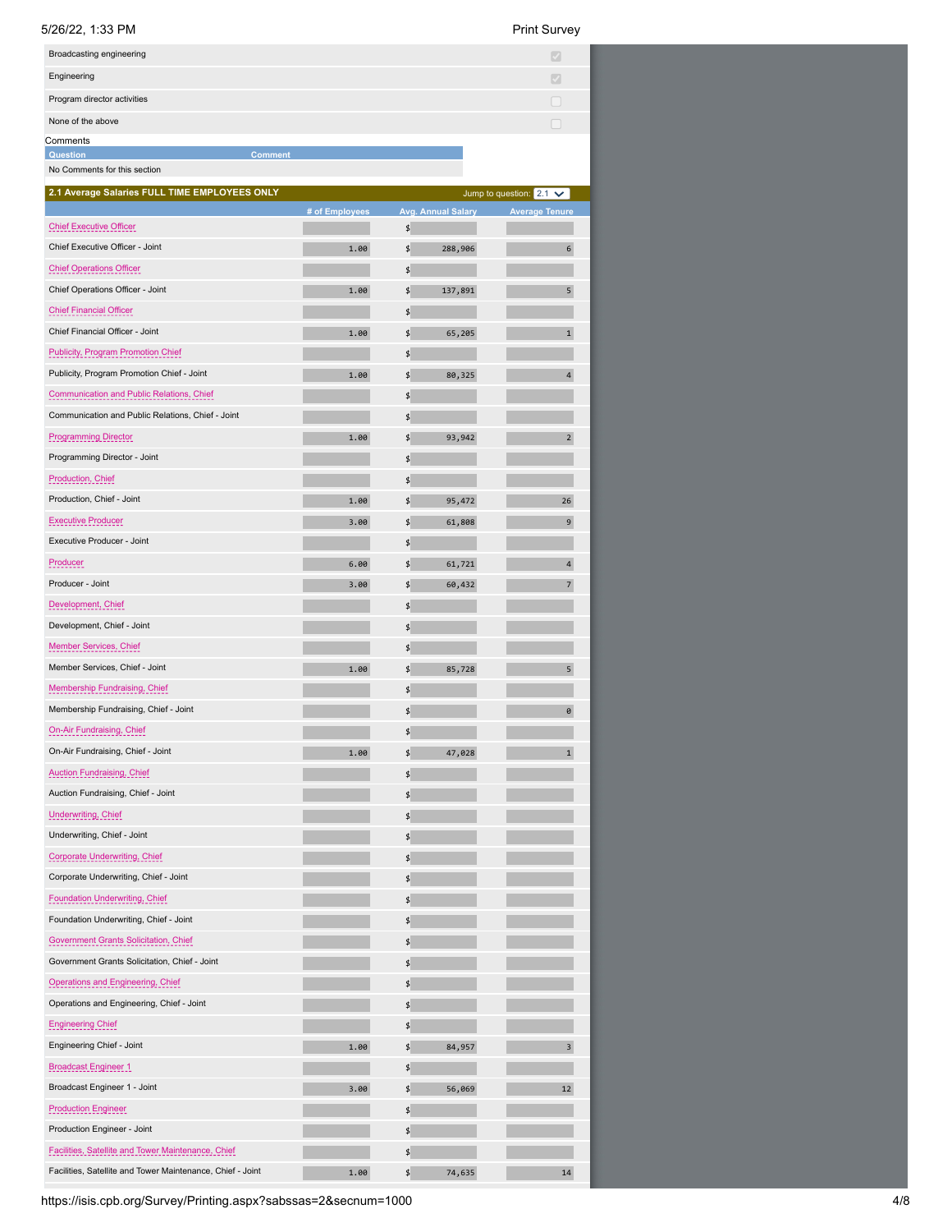# $5/26/22, 1:33$  PM

|  | Print Survey |
|--|--------------|
|--|--------------|

| 5/26/22, 1:33 PM                                           |                |                           | <b>Print Survey</b>            |
|------------------------------------------------------------|----------------|---------------------------|--------------------------------|
| Broadcasting engineering                                   |                |                           | $\vert \mathcal{S} \vert$      |
| Engineering                                                |                |                           | $\mathcal{A}$                  |
| Program director activities                                |                |                           | □                              |
| None of the above                                          |                |                           | □                              |
| Comments                                                   |                |                           |                                |
| <b>Comment</b><br>Question<br>No Comments for this section |                |                           |                                |
| 2.1 Average Salaries FULL TIME EMPLOYEES ONLY              |                |                           | Jump to question: $2.1 \times$ |
|                                                            | # of Employees | <b>Avg. Annual Salary</b> | <b>Average Tenure</b>          |
| <b>Chief Executive Officer</b>                             |                | \$                        |                                |
| Chief Executive Officer - Joint                            | 1.00           | \$<br>288,906             | 6                              |
| <b>Chief Operations Officer</b>                            |                | \$                        |                                |
| Chief Operations Officer - Joint                           | 1.00           | \$<br>137,891             | 5                              |
| <b>Chief Financial Officer</b>                             |                | \$                        |                                |
| Chief Financial Officer - Joint                            | 1.00           | \$<br>65,205              | $\mathbf{1}$                   |
| <b>Publicity, Program Promotion Chief</b>                  |                | \$                        |                                |
| Publicity, Program Promotion Chief - Joint                 | 1.00           | \$<br>80,325              | $\overline{\mathbf{4}}$        |
| Communication and Public Relations, Chief                  |                | \$                        |                                |
| Communication and Public Relations, Chief - Joint          |                | \$                        |                                |
| <b>Programming Director</b>                                | 1.00           | \$<br>93,942              | $\overline{2}$                 |
| Programming Director - Joint                               |                | \$                        |                                |
| Production, Chief                                          |                | \$                        |                                |
| Production, Chief - Joint                                  | 1.00           | \$<br>95,472              | 26                             |
| <b>Executive Producer</b>                                  | 3.00           | \$<br>61,808              | 9                              |
| Executive Producer - Joint                                 |                | \$                        |                                |
| Producer                                                   | 6.00           | \$<br>61,721              | 4                              |
| Producer - Joint                                           | 3.00           | \$<br>60,432              | $\overline{7}$                 |
| Development, Chief                                         |                | \$                        |                                |
| Development, Chief - Joint                                 |                | \$                        |                                |
| Member Services, Chief                                     |                | \$                        |                                |
| Member Services, Chief - Joint                             | 1.00           | \$<br>85,728              | 5                              |
| Membership Fundraising, Chief                              |                | \$                        |                                |
| Membership Fundraising, Chief - Joint                      |                | \$                        | 0                              |
| <b>On-Air Fundraising, Chief</b>                           |                | \$                        |                                |
| On-Air Fundraising, Chief - Joint                          | 1.00           | \$<br>47,028              | $\mathbf{1}$                   |
| <b>Auction Fundraising, Chief</b>                          |                | \$                        |                                |
| Auction Fundraising, Chief - Joint                         |                | \$                        |                                |
| Underwriting, Chief                                        |                | \$                        |                                |
| Underwriting, Chief - Joint                                |                | \$                        |                                |
| Corporate Underwriting, Chief                              |                | \$                        |                                |
| Corporate Underwriting, Chief - Joint                      |                | \$                        |                                |
| Foundation Underwriting, Chief                             |                | \$                        |                                |
| Foundation Underwriting, Chief - Joint                     |                | \$                        |                                |
| Government Grants Solicitation, Chief                      |                | \$                        |                                |
| Government Grants Solicitation, Chief - Joint              |                | \$                        |                                |
| Operations and Engineering, Chief                          |                | \$                        |                                |
| Operations and Engineering, Chief - Joint                  |                | \$                        |                                |
| <b>Engineering Chief</b>                                   |                | \$                        |                                |
| Engineering Chief - Joint                                  | 1.00           | \$<br>84,957              | 3                              |
| <b>Broadcast Engineer 1</b>                                |                | \$                        |                                |
| Broadcast Engineer 1 - Joint                               | 3.00           | \$<br>56,069              | 12                             |
| <b>Production Engineer</b>                                 |                | \$                        |                                |
| Production Engineer - Joint                                |                | \$                        |                                |
| Facilities, Satellite and Tower Maintenance, Chief         |                | \$                        |                                |
| Facilities, Satellite and Tower Maintenance, Chief - Joint | 1.00           | \$<br>74,635              | 14                             |

https://isis.cpb.org/Survey/Printing.aspx?sabssas=2&secnum=1000 4/8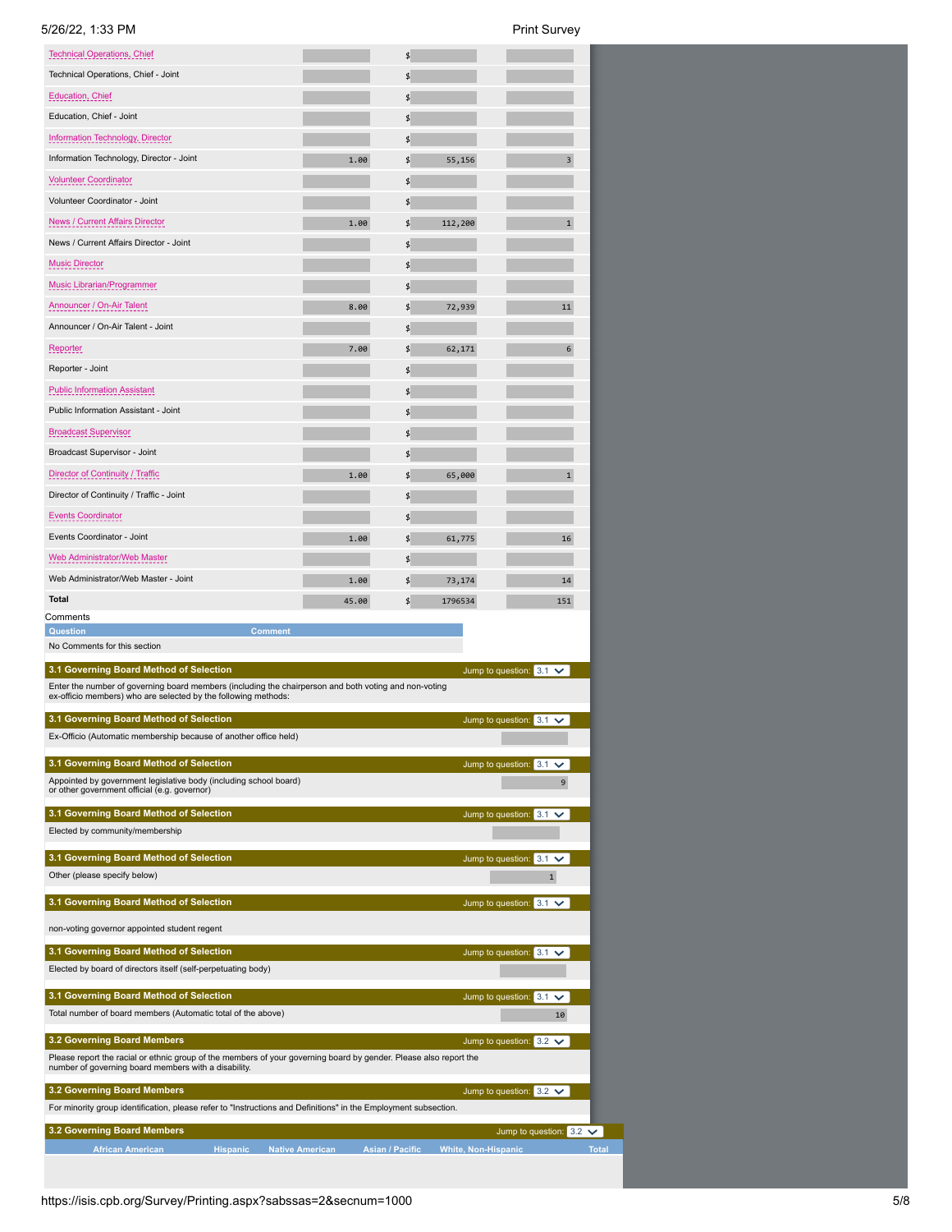| <b>Print Survey</b> |
|---------------------|
|                     |

| <b>Technical Operations, Chief</b>                                                                                                                                                                       |       | \$            |                                             |
|----------------------------------------------------------------------------------------------------------------------------------------------------------------------------------------------------------|-------|---------------|---------------------------------------------|
| Technical Operations, Chief - Joint                                                                                                                                                                      |       | \$            |                                             |
| <b>Education, Chief</b>                                                                                                                                                                                  |       | \$            |                                             |
| Education, Chief - Joint                                                                                                                                                                                 |       | \$            |                                             |
| Information Technology, Director                                                                                                                                                                         |       | \$            |                                             |
| Information Technology, Director - Joint                                                                                                                                                                 | 1.00  | \$<br>55,156  | 3                                           |
| <b>Volunteer Coordinator</b>                                                                                                                                                                             |       | \$            |                                             |
| Volunteer Coordinator - Joint                                                                                                                                                                            |       | \$            |                                             |
| News / Current Affairs Director                                                                                                                                                                          | 1.00  | \$<br>112,200 | $\mathbf{1}$                                |
| News / Current Affairs Director - Joint                                                                                                                                                                  |       | \$            |                                             |
| <b>Music Director</b>                                                                                                                                                                                    |       | \$            |                                             |
| Music Librarian/Programmer                                                                                                                                                                               |       | \$            |                                             |
| Announcer / On-Air Talent                                                                                                                                                                                | 8.00  | \$<br>72,939  | 11                                          |
| Announcer / On-Air Talent - Joint                                                                                                                                                                        |       | \$            |                                             |
| Reporter                                                                                                                                                                                                 | 7.00  | \$<br>62,171  | 6                                           |
| Reporter - Joint                                                                                                                                                                                         |       | \$            |                                             |
| <b>Public Information Assistant</b>                                                                                                                                                                      |       | \$            |                                             |
| Public Information Assistant - Joint                                                                                                                                                                     |       | \$            |                                             |
| <b>Broadcast Supervisor</b>                                                                                                                                                                              |       | \$            |                                             |
| Broadcast Supervisor - Joint                                                                                                                                                                             |       | \$            |                                             |
| Director of Continuity / Traffic                                                                                                                                                                         | 1.00  | \$<br>65,000  | $\mathbf{1}$                                |
| Director of Continuity / Traffic - Joint                                                                                                                                                                 |       | \$            |                                             |
| Events Coordinator                                                                                                                                                                                       |       | \$            |                                             |
| Events Coordinator - Joint                                                                                                                                                                               | 1.00  | \$<br>61,775  | 16                                          |
| Web Administrator/Web Master                                                                                                                                                                             |       | \$            |                                             |
| Web Administrator/Web Master - Joint                                                                                                                                                                     | 1.00  | \$<br>73,174  | 14                                          |
| <b>Total</b>                                                                                                                                                                                             | 45.00 | \$<br>1796534 | 151                                         |
|                                                                                                                                                                                                          |       |               |                                             |
| Comments                                                                                                                                                                                                 |       |               |                                             |
| <b>Comment</b><br><b>Question</b><br>No Comments for this section                                                                                                                                        |       |               |                                             |
| 3.1 Governing Board Method of Selection                                                                                                                                                                  |       |               | Jump to question: $3.1 \times$              |
| Enter the number of governing board members (including the chairperson and both voting and non-voting<br>ex-officio members) who are selected by the following methods:                                  |       |               |                                             |
| 3.1 Governing Board Method of Selection<br>Ex-Officio (Automatic membership because of another office held)                                                                                              |       |               | Jump to question: $3.1 \vee$                |
|                                                                                                                                                                                                          |       |               |                                             |
| 3.1 Governing Board Method of Selection<br>Appointed by government legislative body (including school board)<br>or other government official (e.g. governor)                                             |       |               | Jump to question: $3.1 \checkmark$<br>9     |
| 3.1 Governing Board Method of Selection                                                                                                                                                                  |       |               | Jump to question: 3.1<br>$\checkmark$       |
| Elected by community/membership                                                                                                                                                                          |       |               |                                             |
| 3.1 Governing Board Method of Selection<br>Other (please specify below)                                                                                                                                  |       |               | Jump to question: $3.1 \vee$<br>1           |
| 3.1 Governing Board Method of Selection                                                                                                                                                                  |       |               | Jump to question: $3.1 \vee$                |
| non-voting governor appointed student regent                                                                                                                                                             |       |               |                                             |
| 3.1 Governing Board Method of Selection<br>Elected by board of directors itself (self-perpetuating body)                                                                                                 |       |               | Jump to question: $3.1 \times$              |
| 3.1 Governing Board Method of Selection<br>Total number of board members (Automatic total of the above)                                                                                                  |       |               | Jump to question: 3.1<br>$\checkmark$<br>10 |
|                                                                                                                                                                                                          |       |               |                                             |
| 3.2 Governing Board Members<br>Please report the racial or ethnic group of the members of your governing board by gender. Please also report the<br>number of governing board members with a disability. |       |               | Jump to question: $3.2 \checkmark$          |
| 3.2 Governing Board Members<br>For minority group identification, please refer to "Instructions and Definitions" in the Employment subsection.                                                           |       |               | Jump to question: $3.2 \checkmark$          |
| 3.2 Governing Board Members                                                                                                                                                                              |       |               | Jump to question: 3.2<br>$\checkmark$       |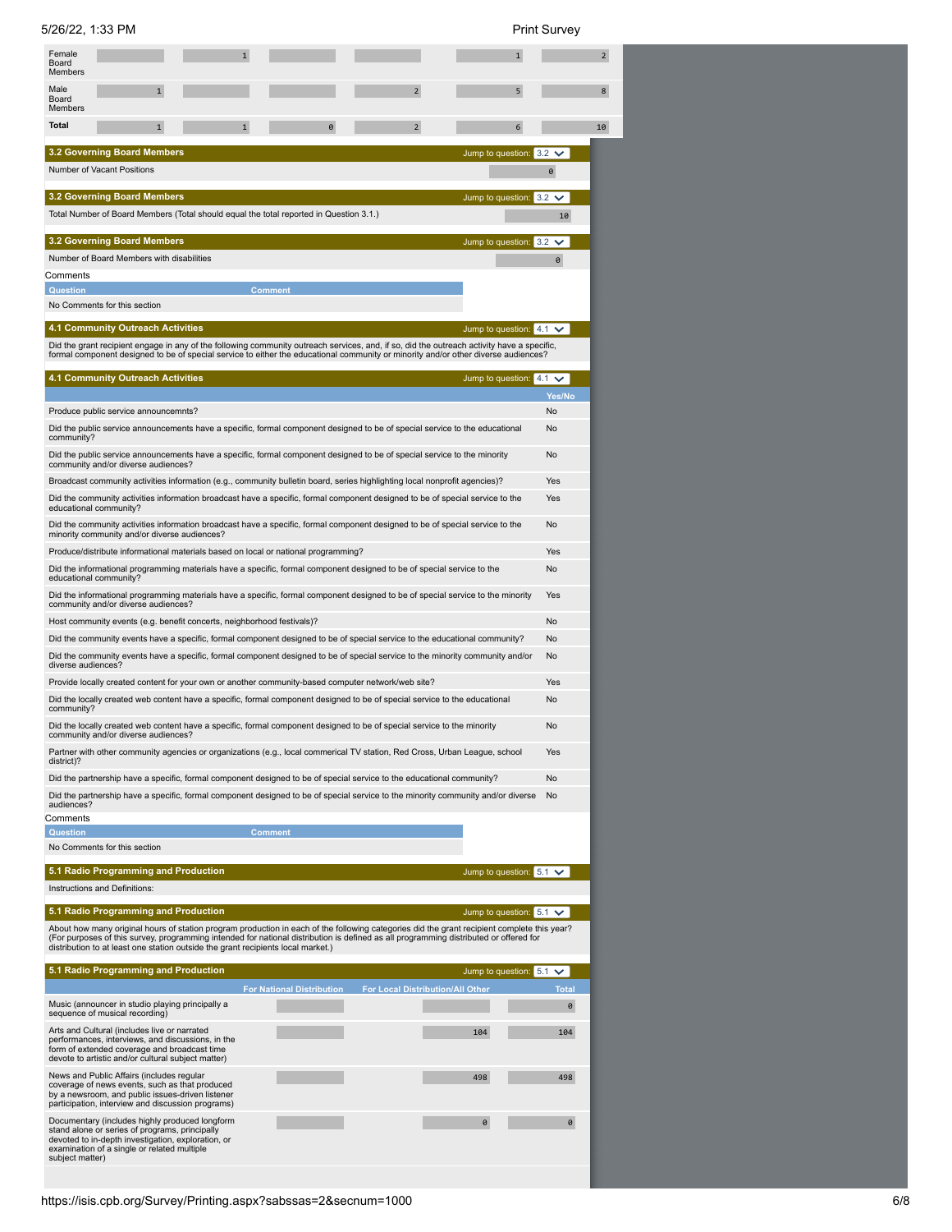5/26/22, 1:33 PM Print Survey

| Female<br>Board<br><b>Members</b> |                                                                                                                                                                                                         |                                                                                                    |                                  |                                                                                                                                                                                                                                                                                      |                      |
|-----------------------------------|---------------------------------------------------------------------------------------------------------------------------------------------------------------------------------------------------------|----------------------------------------------------------------------------------------------------|----------------------------------|--------------------------------------------------------------------------------------------------------------------------------------------------------------------------------------------------------------------------------------------------------------------------------------|----------------------|
| Male<br>Board<br>Members          | 1                                                                                                                                                                                                       |                                                                                                    |                                  | $\overline{2}$<br>5                                                                                                                                                                                                                                                                  |                      |
| <b>Total</b>                      | $\mathbf{1}$                                                                                                                                                                                            | 1                                                                                                  |                                  | $\overline{2}$<br>6                                                                                                                                                                                                                                                                  |                      |
|                                   | <b>3.2 Governing Board Members</b>                                                                                                                                                                      |                                                                                                    |                                  | Jump to question: 3.2                                                                                                                                                                                                                                                                |                      |
|                                   | <b>Number of Vacant Positions</b>                                                                                                                                                                       |                                                                                                    |                                  |                                                                                                                                                                                                                                                                                      | 0                    |
|                                   | <b>3.2 Governing Board Members</b>                                                                                                                                                                      |                                                                                                    |                                  | Jump to question: 3.2                                                                                                                                                                                                                                                                | $\checkmark$         |
|                                   |                                                                                                                                                                                                         | Total Number of Board Members (Total should equal the total reported in Question 3.1.)             |                                  |                                                                                                                                                                                                                                                                                      | 10                   |
|                                   |                                                                                                                                                                                                         |                                                                                                    |                                  |                                                                                                                                                                                                                                                                                      |                      |
|                                   | <b>3.2 Governing Board Members</b><br>Number of Board Members with disabilities                                                                                                                         |                                                                                                    |                                  | Jump to question: 3.2                                                                                                                                                                                                                                                                | $\checkmark$         |
| Comments                          |                                                                                                                                                                                                         |                                                                                                    |                                  |                                                                                                                                                                                                                                                                                      | 0                    |
| <b>Question</b>                   |                                                                                                                                                                                                         |                                                                                                    | Comment                          |                                                                                                                                                                                                                                                                                      |                      |
|                                   | No Comments for this section                                                                                                                                                                            |                                                                                                    |                                  |                                                                                                                                                                                                                                                                                      |                      |
|                                   | <b>4.1 Community Outreach Activities</b>                                                                                                                                                                |                                                                                                    |                                  | Jump to question: $4.1 \vee$                                                                                                                                                                                                                                                         |                      |
|                                   |                                                                                                                                                                                                         |                                                                                                    |                                  | Did the grant recipient engage in any of the following community outreach services, and, if so, did the outreach activity have a specific,<br>formal component designed to be of special service to either the educational community or minority and/or other diverse audiences?     |                      |
|                                   | <b>4.1 Community Outreach Activities</b>                                                                                                                                                                |                                                                                                    |                                  |                                                                                                                                                                                                                                                                                      |                      |
|                                   |                                                                                                                                                                                                         |                                                                                                    |                                  | Jump to question:                                                                                                                                                                                                                                                                    | $4.1 \vee$<br>Yes/No |
|                                   | Produce public service announcemnts?                                                                                                                                                                    |                                                                                                    |                                  |                                                                                                                                                                                                                                                                                      | No                   |
| community?                        |                                                                                                                                                                                                         |                                                                                                    |                                  | Did the public service announcements have a specific, formal component designed to be of special service to the educational                                                                                                                                                          | No                   |
|                                   |                                                                                                                                                                                                         |                                                                                                    |                                  | Did the public service announcements have a specific, formal component designed to be of special service to the minority                                                                                                                                                             | <b>No</b>            |
|                                   | community and/or diverse audiences?                                                                                                                                                                     |                                                                                                    |                                  |                                                                                                                                                                                                                                                                                      |                      |
|                                   |                                                                                                                                                                                                         |                                                                                                    |                                  | Broadcast community activities information (e.g., community bulletin board, series highlighting local nonprofit agencies)?<br>Did the community activities information broadcast have a specific, formal component designed to be of special service to the                          | Yes<br>Yes           |
|                                   | educational community?                                                                                                                                                                                  |                                                                                                    |                                  | Did the community activities information broadcast have a specific, formal component designed to be of special service to the                                                                                                                                                        | <b>No</b>            |
|                                   | minority community and/or diverse audiences?                                                                                                                                                            | Produce/distribute informational materials based on local or national programming?                 |                                  |                                                                                                                                                                                                                                                                                      | Yes                  |
|                                   |                                                                                                                                                                                                         |                                                                                                    |                                  | Did the informational programming materials have a specific, formal component designed to be of special service to the                                                                                                                                                               | No                   |
|                                   | educational community?                                                                                                                                                                                  |                                                                                                    |                                  | Did the informational programming materials have a specific, formal component designed to be of special service to the minority                                                                                                                                                      | Yes                  |
|                                   | community and/or diverse audiences?                                                                                                                                                                     | Host community events (e.g. benefit concerts, neighborhood festivals)?                             |                                  |                                                                                                                                                                                                                                                                                      | No                   |
|                                   |                                                                                                                                                                                                         |                                                                                                    |                                  | Did the community events have a specific, formal component designed to be of special service to the educational community?                                                                                                                                                           | No                   |
| diverse audiences?                |                                                                                                                                                                                                         |                                                                                                    |                                  | Did the community events have a specific, formal component designed to be of special service to the minority community and/or                                                                                                                                                        | <b>No</b>            |
|                                   |                                                                                                                                                                                                         | Provide locally created content for your own or another community-based computer network/web site? |                                  |                                                                                                                                                                                                                                                                                      | Yes                  |
|                                   |                                                                                                                                                                                                         |                                                                                                    |                                  | Did the locally created web content have a specific, formal component designed to be of special service to the educational                                                                                                                                                           | No                   |
| community?                        |                                                                                                                                                                                                         |                                                                                                    |                                  | Did the locally created web content have a specific, formal component designed to be of special service to the minority                                                                                                                                                              | <b>No</b>            |
|                                   | community and/or diverse audiences'                                                                                                                                                                     |                                                                                                    |                                  |                                                                                                                                                                                                                                                                                      |                      |
| district)?                        |                                                                                                                                                                                                         |                                                                                                    |                                  | Partner with other community agencies or organizations (e.g., local commerical TV station, Red Cross, Urban League, school                                                                                                                                                           | Yes                  |
|                                   |                                                                                                                                                                                                         |                                                                                                    |                                  | Did the partnership have a specific, formal component designed to be of special service to the educational community?                                                                                                                                                                | No                   |
| audiences?                        |                                                                                                                                                                                                         |                                                                                                    |                                  | Did the partnership have a specific, formal component designed to be of special service to the minority community and/or diverse                                                                                                                                                     | <b>No</b>            |
| Comments                          |                                                                                                                                                                                                         |                                                                                                    |                                  |                                                                                                                                                                                                                                                                                      |                      |
| <b>Question</b>                   |                                                                                                                                                                                                         |                                                                                                    | <b>Comment</b>                   |                                                                                                                                                                                                                                                                                      |                      |
|                                   | No Comments for this section                                                                                                                                                                            |                                                                                                    |                                  |                                                                                                                                                                                                                                                                                      |                      |
|                                   | 5.1 Radio Programming and Production                                                                                                                                                                    |                                                                                                    |                                  | Jump to question: $5.1 \checkmark$                                                                                                                                                                                                                                                   |                      |
|                                   | Instructions and Definitions:                                                                                                                                                                           |                                                                                                    |                                  |                                                                                                                                                                                                                                                                                      |                      |
|                                   | 5.1 Radio Programming and Production                                                                                                                                                                    |                                                                                                    |                                  | Jump to question: $5.1 \checkmark$                                                                                                                                                                                                                                                   |                      |
|                                   |                                                                                                                                                                                                         | distribution to at least one station outside the grant recipients local market.)                   |                                  | About how many original hours of station program production in each of the following categories did the grant recipient complete this year?<br>(For purposes of this survey, programming intended for national distribution is defined as all programming distributed or offered for |                      |
|                                   | 5.1 Radio Programming and Production                                                                                                                                                                    |                                                                                                    |                                  | Jump to question: 5.1                                                                                                                                                                                                                                                                | $\checkmark$         |
|                                   |                                                                                                                                                                                                         |                                                                                                    | <b>For National Distribution</b> | For Local Distribution/All Other                                                                                                                                                                                                                                                     | <b>Total</b>         |
|                                   | Music (announcer in studio playing principally a<br>sequence of musical recording)                                                                                                                      |                                                                                                    |                                  |                                                                                                                                                                                                                                                                                      | 0                    |
|                                   | Arts and Cultural (includes live or narrated<br>performances, interviews, and discussions, in the<br>form of extended coverage and broadcast time<br>devote to artistic and/or cultural subject matter) |                                                                                                    |                                  | 104                                                                                                                                                                                                                                                                                  | 104                  |
|                                   | News and Public Affairs (includes regular<br>coverage of news events, such as that produced                                                                                                             |                                                                                                    |                                  | 498                                                                                                                                                                                                                                                                                  | 498                  |
|                                   | by a newsroom, and public issues-driven listener<br>participation, interview and discussion programs)                                                                                                   |                                                                                                    |                                  |                                                                                                                                                                                                                                                                                      |                      |
|                                   | Documentary (includes highly produced longform<br>stand alone or series of programs, principally<br>devoted to in-depth investigation, exploration, or<br>examination of a single or related multiple   |                                                                                                    |                                  | 0                                                                                                                                                                                                                                                                                    | 0                    |
| subject matter)                   |                                                                                                                                                                                                         |                                                                                                    |                                  |                                                                                                                                                                                                                                                                                      |                      |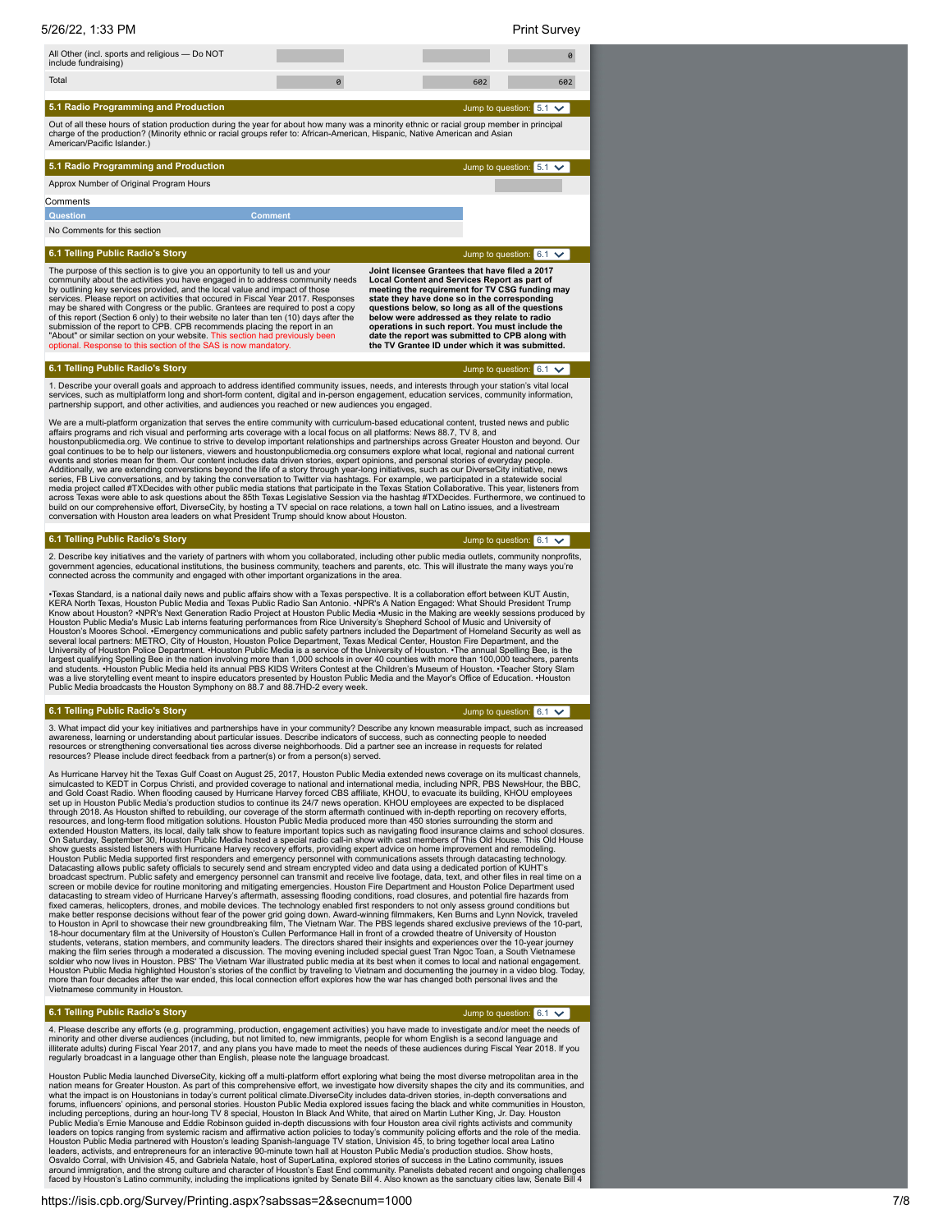| 5/26/22, 1:33 PM                                                                                                                                                                                                                                                                                                                                                                                                                                                                                                                                                                                                                                                                                                                                                                                                                                                                                                                                                                                                                                                                                                                                                                                                                                                                                                                                                                                                                                                                                                                                |                                                                                                                                                                                                                                                                                                                                                                                                                                                               | <b>Print Survey</b>                   |
|-------------------------------------------------------------------------------------------------------------------------------------------------------------------------------------------------------------------------------------------------------------------------------------------------------------------------------------------------------------------------------------------------------------------------------------------------------------------------------------------------------------------------------------------------------------------------------------------------------------------------------------------------------------------------------------------------------------------------------------------------------------------------------------------------------------------------------------------------------------------------------------------------------------------------------------------------------------------------------------------------------------------------------------------------------------------------------------------------------------------------------------------------------------------------------------------------------------------------------------------------------------------------------------------------------------------------------------------------------------------------------------------------------------------------------------------------------------------------------------------------------------------------------------------------|---------------------------------------------------------------------------------------------------------------------------------------------------------------------------------------------------------------------------------------------------------------------------------------------------------------------------------------------------------------------------------------------------------------------------------------------------------------|---------------------------------------|
| All Other (incl. sports and religious - Do NOT<br>include fundraising)                                                                                                                                                                                                                                                                                                                                                                                                                                                                                                                                                                                                                                                                                                                                                                                                                                                                                                                                                                                                                                                                                                                                                                                                                                                                                                                                                                                                                                                                          |                                                                                                                                                                                                                                                                                                                                                                                                                                                               | 0                                     |
| Total                                                                                                                                                                                                                                                                                                                                                                                                                                                                                                                                                                                                                                                                                                                                                                                                                                                                                                                                                                                                                                                                                                                                                                                                                                                                                                                                                                                                                                                                                                                                           | 602                                                                                                                                                                                                                                                                                                                                                                                                                                                           | 602                                   |
| 5.1 Radio Programming and Production                                                                                                                                                                                                                                                                                                                                                                                                                                                                                                                                                                                                                                                                                                                                                                                                                                                                                                                                                                                                                                                                                                                                                                                                                                                                                                                                                                                                                                                                                                            |                                                                                                                                                                                                                                                                                                                                                                                                                                                               | Jump to question: 5.1<br>$\checkmark$ |
| Out of all these hours of station production during the year for about how many was a minority ethnic or racial group member in principal<br>charge of the production? (Minority ethnic or racial groups refer to: African-American, Hispanic, Native American and Asian<br>American/Pacific Islander.)                                                                                                                                                                                                                                                                                                                                                                                                                                                                                                                                                                                                                                                                                                                                                                                                                                                                                                                                                                                                                                                                                                                                                                                                                                         |                                                                                                                                                                                                                                                                                                                                                                                                                                                               |                                       |
| 5.1 Radio Programming and Production                                                                                                                                                                                                                                                                                                                                                                                                                                                                                                                                                                                                                                                                                                                                                                                                                                                                                                                                                                                                                                                                                                                                                                                                                                                                                                                                                                                                                                                                                                            |                                                                                                                                                                                                                                                                                                                                                                                                                                                               | Jump to question: $5.1 \vee$          |
| Approx Number of Original Program Hours                                                                                                                                                                                                                                                                                                                                                                                                                                                                                                                                                                                                                                                                                                                                                                                                                                                                                                                                                                                                                                                                                                                                                                                                                                                                                                                                                                                                                                                                                                         |                                                                                                                                                                                                                                                                                                                                                                                                                                                               |                                       |
| Comments                                                                                                                                                                                                                                                                                                                                                                                                                                                                                                                                                                                                                                                                                                                                                                                                                                                                                                                                                                                                                                                                                                                                                                                                                                                                                                                                                                                                                                                                                                                                        |                                                                                                                                                                                                                                                                                                                                                                                                                                                               |                                       |
| <b>Comment</b><br><b>Question</b>                                                                                                                                                                                                                                                                                                                                                                                                                                                                                                                                                                                                                                                                                                                                                                                                                                                                                                                                                                                                                                                                                                                                                                                                                                                                                                                                                                                                                                                                                                               |                                                                                                                                                                                                                                                                                                                                                                                                                                                               |                                       |
| No Comments for this section                                                                                                                                                                                                                                                                                                                                                                                                                                                                                                                                                                                                                                                                                                                                                                                                                                                                                                                                                                                                                                                                                                                                                                                                                                                                                                                                                                                                                                                                                                                    |                                                                                                                                                                                                                                                                                                                                                                                                                                                               |                                       |
| 6.1 Telling Public Radio's Story                                                                                                                                                                                                                                                                                                                                                                                                                                                                                                                                                                                                                                                                                                                                                                                                                                                                                                                                                                                                                                                                                                                                                                                                                                                                                                                                                                                                                                                                                                                |                                                                                                                                                                                                                                                                                                                                                                                                                                                               | Jump to question: $6.1 \checkmark$    |
| The purpose of this section is to give you an opportunity to tell us and your<br>community about the activities you have engaged in to address community needs<br>by outlining key services provided, and the local value and impact of those<br>services. Please report on activities that occured in Fiscal Year 2017. Responses<br>may be shared with Congress or the public. Grantees are required to post a copy<br>of this report (Section 6 only) to their website no later than ten (10) days after the<br>submission of the report to CPB. CPB recommends placing the report in an<br>"About" or similar section on your website. This section had previously been<br>optional. Response to this section of the SAS is now mandatory.                                                                                                                                                                                                                                                                                                                                                                                                                                                                                                                                                                                                                                                                                                                                                                                                  | Joint licensee Grantees that have filed a 2017<br>Local Content and Services Report as part of<br>meeting the requirement for TV CSG funding may<br>state they have done so in the corresponding<br>questions below, so long as all of the questions<br>below were addressed as they relate to radio<br>operations in such report. You must include the<br>date the report was submitted to CPB along with<br>the TV Grantee ID under which it was submitted. |                                       |
| 6.1 Telling Public Radio's Story                                                                                                                                                                                                                                                                                                                                                                                                                                                                                                                                                                                                                                                                                                                                                                                                                                                                                                                                                                                                                                                                                                                                                                                                                                                                                                                                                                                                                                                                                                                |                                                                                                                                                                                                                                                                                                                                                                                                                                                               | Jump to question: $6.1 \vee$          |
| 1. Describe your overall goals and approach to address identified community issues, needs, and interests through your station's vital local<br>services, such as multiplatform long and short-form content, digital and in-person engagement, education services, community information,<br>partnership support, and other activities, and audiences you reached or new audiences you engaged.                                                                                                                                                                                                                                                                                                                                                                                                                                                                                                                                                                                                                                                                                                                                                                                                                                                                                                                                                                                                                                                                                                                                                  |                                                                                                                                                                                                                                                                                                                                                                                                                                                               |                                       |
| We are a multi-platform organization that serves the entire community with curriculum-based educational content, trusted news and public<br>affairs programs and rich visual and performing arts coverage with a local focus on all platforms: News 88.7, TV 8, and<br>houstonpublicmedia.org. We continue to strive to develop important relationships and partnerships across Greater Houston and beyond. Our<br>goal continues to be to help our listeners, viewers and houstonpublicmedia.org consumers explore what local, regional and national current<br>events and stories mean for them. Our content includes data driven stories, expert opinions, and personal stories of everyday people.<br>Additionally, we are extending converstions beyond the life of a story through year-long initiatives, such as our DiverseCity initiative, news<br>series, FB Live conversations, and by taking the conversation to Twitter via hashtags. For example, we participated in a statewide social<br>media project called #TXDecides with other public media stations that participate in the Texas Station Collaborative. This year, listeners from<br>across Texas were able to ask questions about the 85th Texas Legislative Session via the hashtag #TXDecides. Furthermore, we continued to<br>build on our comprehensive effort, DiverseCity, by hosting a TV special on race relations, a town hall on Latino issues, and a livestream<br>conversation with Houston area leaders on what President Trump should know about Houston. |                                                                                                                                                                                                                                                                                                                                                                                                                                                               |                                       |
| 6.1 Telling Public Radio's Story                                                                                                                                                                                                                                                                                                                                                                                                                                                                                                                                                                                                                                                                                                                                                                                                                                                                                                                                                                                                                                                                                                                                                                                                                                                                                                                                                                                                                                                                                                                |                                                                                                                                                                                                                                                                                                                                                                                                                                                               | Jump to question: $6.1 \times$        |
| 2. Describe key initiatives and the variety of partners with whom you collaborated, including other public media outlets, community nonprofits,<br>government agencies, educational institutions, the business community, teachers and parents, etc. This will illustrate the many ways you're<br>connected across the community and engaged with other important organizations in the area.                                                                                                                                                                                                                                                                                                                                                                                                                                                                                                                                                                                                                                                                                                                                                                                                                                                                                                                                                                                                                                                                                                                                                    |                                                                                                                                                                                                                                                                                                                                                                                                                                                               |                                       |
| •Texas Standard, is a national daily news and public affairs show with a Texas perspective. It is a collaboration effort between KUT Austin,<br>KERA North Texas, Houston Public Media and Texas Public Radio San Antonio. ∙NPR's A Nation Engaged: What Should President Trump<br>Know about Houston? •NPR's Next Generation Radio Project at Houston Public Media •Music in the Making are weekly sessions produced by<br>Houston Public Media's Music Lab interns featuring performances from Rice University's Shepherd School of Music and University of<br>Houston's Moores School. . Emergency communications and public safety partners included the Department of Homeland Security as well as<br>several local partners: METRO, City of Houston, Houston Police Department, Texas Medical Center, Houston Fire Department, and the<br>University of Houston Police Department. Houston Public Media is a service of the University of Houston. The annual Spelling Bee, is the<br>largest qualifying Spelling Bee in the nation involving more than 1,000 schools in over 40 counties with more than 100,000 teachers, parents<br>and students. Houston Public Media held its annual PBS KIDS Writers Contest at th<br>was a live storytelling event meant to inspire educators presented by Houston Public Media and the Mayor's Office of Education. . Houston<br>Public Media broadcasts the Houston Symphony on 88.7 and 88.7HD-2 every week.                                                                                     |                                                                                                                                                                                                                                                                                                                                                                                                                                                               |                                       |
| 6.1 Telling Public Radio's Story                                                                                                                                                                                                                                                                                                                                                                                                                                                                                                                                                                                                                                                                                                                                                                                                                                                                                                                                                                                                                                                                                                                                                                                                                                                                                                                                                                                                                                                                                                                |                                                                                                                                                                                                                                                                                                                                                                                                                                                               | Jump to question: $6.1 \checkmark$    |
| 3. What impact did your key initiatives and partnerships have in your community? Describe any known measurable impact, such as increased<br>awareness, learning or understanding about particular issues. Describe indicators of success, such as connecting people to needed<br>resources or strengthening conversational ties across diverse neighborhoods. Did a partner see an increase in requests for related<br>resources? Please include direct feedback from a partner(s) or from a person(s) served.                                                                                                                                                                                                                                                                                                                                                                                                                                                                                                                                                                                                                                                                                                                                                                                                                                                                                                                                                                                                                                  |                                                                                                                                                                                                                                                                                                                                                                                                                                                               |                                       |
| As Hurricane Harvey hit the Texas Gulf Coast on August 25, 2017, Houston Public Media extended news coverage on its multicast channels,<br>simulcasted to KEDT in Corpus Christi, and provided coverage to national and international media, including NPR, PBS NewsHour, the BBC,<br>and Gold Coast Radio. When flooding caused by Hurricane Harvey forced CBS affiliate, KHOU, to evacuate its building, KHOU employees<br>set un in Houston Public Media's production studios to continue its 24/7 news operation. KHOU employees are expected to be displaced                                                                                                                                                                                                                                                                                                                                                                                                                                                                                                                                                                                                                                                                                                                                                                                                                                                                                                                                                                               |                                                                                                                                                                                                                                                                                                                                                                                                                                                               |                                       |

and Gold Coast Radio. When flooding caused by Hurricane Harvey forced CBS affiliate, KHOU, to evacuate its building, KHOU employees<br>set up in Houston Public Media's production studios to continue its 24/7 news operation. K students, veterans, station members, and community leaders. The directors shared their insights and experiences over the 10-year journey<br>making the film series through a moderated a discussion. The moving evening included Houston Public Media highlighted Houston's stories of the conflict by traveling to Vietnam and documenting the journey in a video blog. Today,<br>more than four decades after the war ended, this local connection effort explor

### **6.1 Telling Public Radio's Story**

### Jump to question:  $6.1 \times$

4. Please describe any efforts (e.g. programming, production, engagement activities) you have made to investigate and/or meet the needs of<br>minority and other diverse audiences (including, but not limited to, new immigrants regularly broadcast in a language other than English, please note the language broadcast.

Houston Public Media launched DiverseCity, kicking off a multi-platform effort exploring what being the most diverse metropolitan area in the nation means for Greater Houston. As part of this communities, and nation means for Greater Houston. As part of this comprehensive effort, we investigate how diversity shapes the city and its communities, and<br>what the impact is on Houstonians in today's current political climate.DiverseCi Osvaldo Corral, with Univision 45, and Gabriela Natale, host of SuperLatina, explored stories of success in the Latino community, issues<br>around immigration, and the strong culture and character of Houston's East End commu